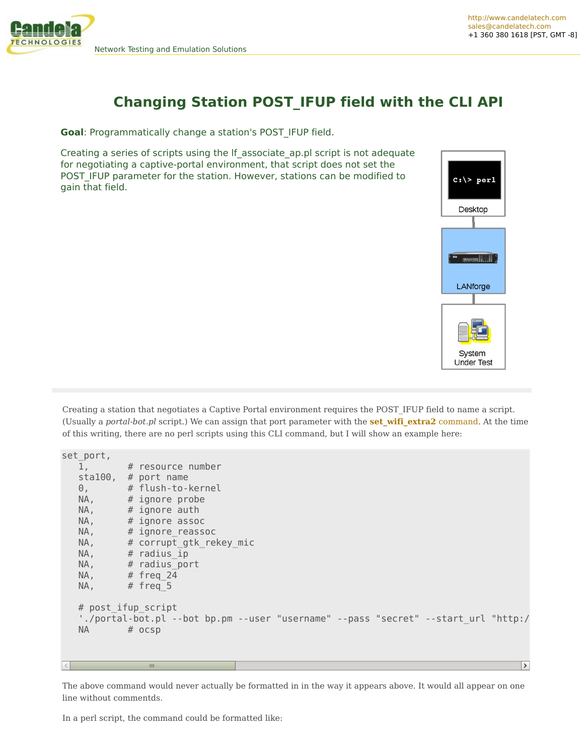

## **Changing Station POST\_IFUP field with the CLI API**

**Goal**: Programmatically change a station's POST\_IFUP field.

Creating a series of scripts using the lf\_associate\_ap.pl script is not adequate for negotiating a captive-portal environment, that script does not set the POST\_IFUP parameter for the station. However, stations can be modified to gain that field.



Creating a station that negotiates a Captive Portal environment requires the POST\_IFUP field to name a script. (Usually a *portal-bot.pl* script.) We can assign that port parameter with the **[set\\_wifi\\_extra2](http://www.candelatech.com/lfcli_ug.php#set_wifi_extra2)** command. At the time of this writing, there are no perl scripts using this CLI command, but I will show an example here:

```
\frac{\text{set} \text{port}}{1},
        # resource number
sta100, # port name
0, # flush-to-kernel
NA, # ignore probe
NA, \# ignore auth
NA, # ignore assoc
NA, # ignore reassoc
NA, \# corrupt gtk rekey mic
NA, # radius ip
NA, # radius port
NA, # freq 24
NA, \# freq 5
# post_ifup_script
'./portal-bot.pl --bot bp.pm --user "username" --pass "secret" --start url "http:/
NA # ocsp
                                                                              \rightarrow
```
The above command would never actually be formatted in in the way it appears above. It would all appear on one line without commentds.

In a perl script, the command could be formatted like: